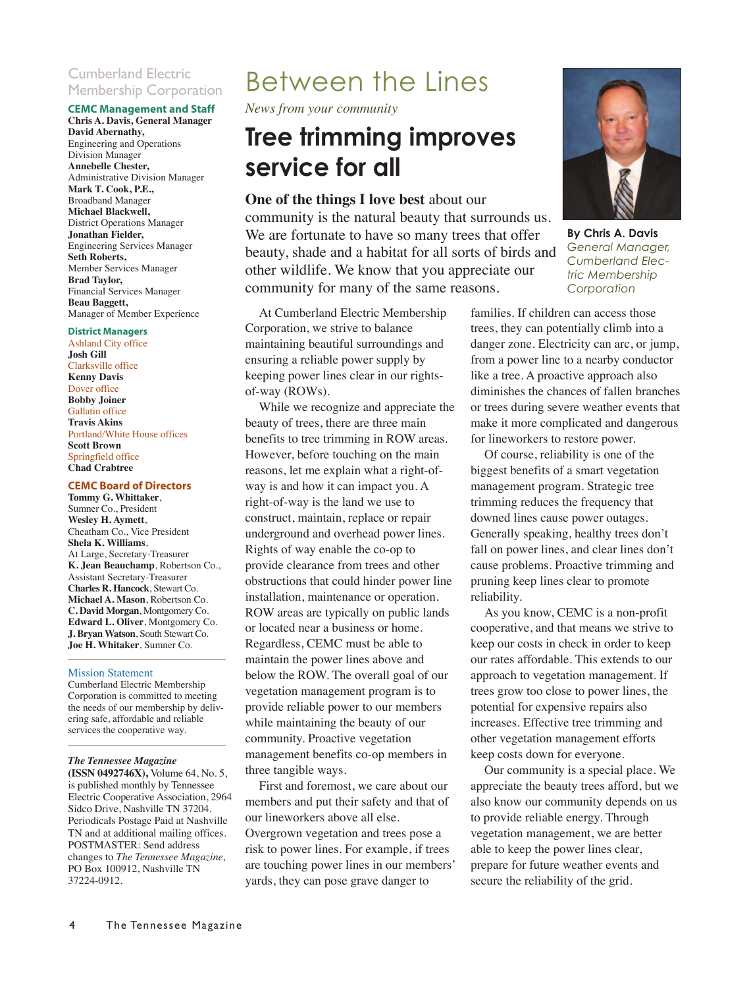#### Cumberland Electric Membership Corporation

#### **CEMC Management and Staff**

**Chris A. Davis, General Manager David Abernathy,** Engineering and Operations Division Manager **Annebelle Chester,** Administrative Division Manager **Mark T. Cook, P.E.,** Broadband Manager **Michael Blackwell,** District Operations Manager **Jonathan Fielder,**  Engineering Services Manager **Seth Roberts,** Member Services Manager **Brad Taylor,**  Financial Services Manager **Beau Baggett,**  Manager of Member Experience

#### **District Managers**

Ashland City office **Josh Gill** Clarksville office **Kenny Davis** Dover office **Bobby Joiner** Gallatin office **Travis Akins** Portland/White House offices **Scott Brown** Springfield office **Chad Crabtree**

#### **CEMC Board of Directors**

**Tommy G. Whittaker**, Sumner Co., President **Wesley H. Aymett**, Cheatham Co., Vice President **Shela K. Williams**, At Large, Secretary-Treasurer **K. Jean Beauchamp**, Robertson Co., Assistant Secretary-Treasurer **Charles R. Hancock**, Stewart Co. **Michael A. Mason**, Robertson Co. **C. David Morgan**, Montgomery Co. **Edward L. Oliver**, Montgomery Co. **J. Bryan Watson**, South Stewart Co. **Joe H. Whitaker**, Sumner Co.

#### Mission Statement

Cumberland Electric Membership Corporation is committed to meeting the needs of our membership by delivering safe, affordable and reliable services the cooperative way.

#### *The Tennessee Magazine*

**(ISSN 0492746X),** Volume 64, No. 5, is published monthly by Tennessee Electric Cooperative Association, 2964 Sidco Drive, Nashville TN 37204. Periodicals Postage Paid at Nashville TN and at additional mailing offices. POSTMASTER: Send address changes to *The Tennessee Magazine,* PO Box 100912, Nashville TN 37224-0912.

### Between the Lines

*News from your community*

### **Tree trimming improves service for all**

**One of the things I love best** about our community is the natural beauty that surrounds us. We are fortunate to have so many trees that offer beauty, shade and a habitat for all sorts of birds and other wildlife. We know that you appreciate our community for many of the same reasons.

At Cumberland Electric Membership Corporation, we strive to balance maintaining beautiful surroundings and ensuring a reliable power supply by keeping power lines clear in our rightsof-way (ROWs).

While we recognize and appreciate the beauty of trees, there are three main benefits to tree trimming in ROW areas. However, before touching on the main reasons, let me explain what a right-ofway is and how it can impact you. A right-of-way is the land we use to construct, maintain, replace or repair underground and overhead power lines. Rights of way enable the co-op to provide clearance from trees and other obstructions that could hinder power line installation, maintenance or operation. ROW areas are typically on public lands or located near a business or home. Regardless, CEMC must be able to maintain the power lines above and below the ROW. The overall goal of our vegetation management program is to provide reliable power to our members while maintaining the beauty of our community. Proactive vegetation management benefits co-op members in three tangible ways.

First and foremost, we care about our members and put their safety and that of our lineworkers above all else. Overgrown vegetation and trees pose a risk to power lines. For example, if trees are touching power lines in our members' yards, they can pose grave danger to



**By Chris A. Davis** *General Manager, Cumberland Electric Membership Corporation*

families. If children can access those trees, they can potentially climb into a danger zone. Electricity can arc, or jump, from a power line to a nearby conductor like a tree. A proactive approach also diminishes the chances of fallen branches or trees during severe weather events that make it more complicated and dangerous for lineworkers to restore power.

Of course, reliability is one of the biggest benefits of a smart vegetation management program. Strategic tree trimming reduces the frequency that downed lines cause power outages. Generally speaking, healthy trees don't fall on power lines, and clear lines don't cause problems. Proactive trimming and pruning keep lines clear to promote reliability.

As you know, CEMC is a non-profit cooperative, and that means we strive to keep our costs in check in order to keep our rates affordable. This extends to our approach to vegetation management. If trees grow too close to power lines, the potential for expensive repairs also increases. Effective tree trimming and other vegetation management efforts keep costs down for everyone.

Our community is a special place. We appreciate the beauty trees afford, but we also know our community depends on us to provide reliable energy. Through vegetation management, we are better able to keep the power lines clear, prepare for future weather events and secure the reliability of the grid.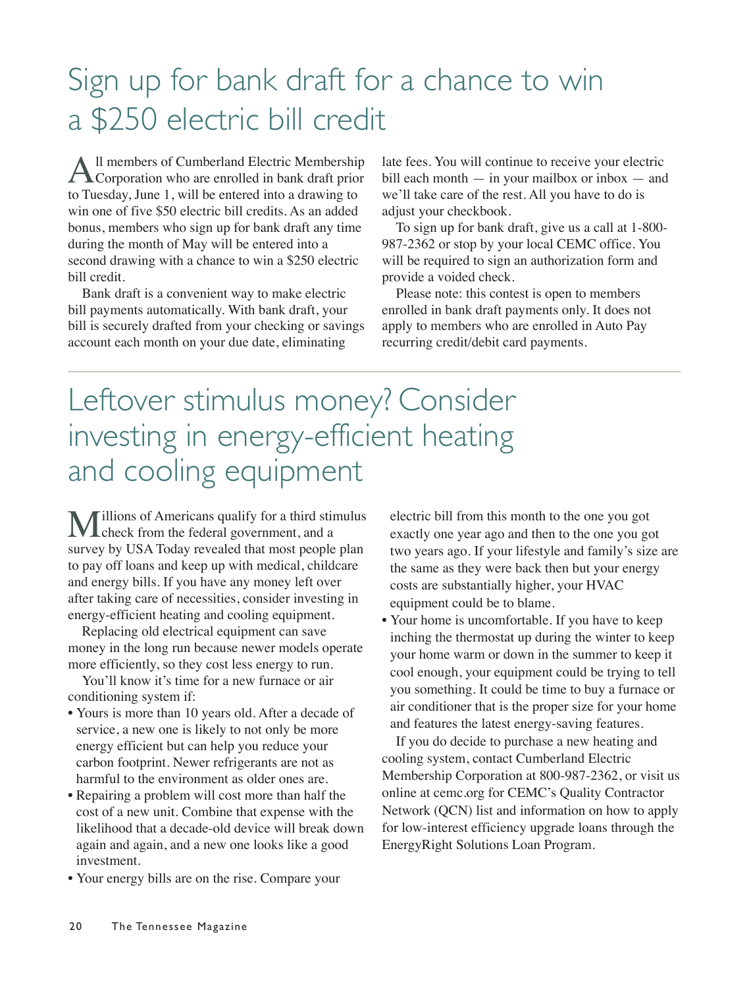## Sign up for bank draft for a chance to win a \$250 electric bill credit

All members of Cumberland Electric Membership<br>Corporation who are enrolled in bank draft prior to Tuesday, June 1, will be entered into a drawing to win one of five \$50 electric bill credits. As an added bonus, members who sign up for bank draft any time during the month of May will be entered into a second drawing with a chance to win a \$250 electric bill credit.

Bank draft is a convenient way to make electric bill payments automatically. With bank draft, your bill is securely drafted from your checking or savings account each month on your due date, eliminating

late fees. You will continue to receive your electric bill each month — in your mailbox or inbox — and we'll take care of the rest. All you have to do is adjust your checkbook.

To sign up for bank draft, give us a call at 1-800- 987-2362 or stop by your local CEMC office. You will be required to sign an authorization form and provide a voided check.

Please note: this contest is open to members enrolled in bank draft payments only. It does not apply to members who are enrolled in Auto Pay recurring credit/debit card payments.

## Leftover stimulus money? Consider investing in energy-efficient heating and cooling equipment

Millions of Americans qualify for a third stimulus **L**check from the federal government, and a survey by USA Today revealed that most people plan to pay off loans and keep up with medical, childcare and energy bills. If you have any money left over after taking care of necessities, consider investing in energy-efficient heating and cooling equipment.

Replacing old electrical equipment can save money in the long run because newer models operate more efficiently, so they cost less energy to run.

You'll know it's time for a new furnace or air conditioning system if:

- Yours is more than 10 years old. After a decade of service, a new one is likely to not only be more energy efficient but can help you reduce your carbon footprint. Newer refrigerants are not as harmful to the environment as older ones are.
- Repairing a problem will cost more than half the cost of a new unit. Combine that expense with the likelihood that a decade-old device will break down again and again, and a new one looks like a good investment.
- Your energy bills are on the rise. Compare your

electric bill from this month to the one you got exactly one year ago and then to the one you got two years ago. If your lifestyle and family's size are the same as they were back then but your energy costs are substantially higher, your HVAC equipment could be to blame.

• Your home is uncomfortable. If you have to keep inching the thermostat up during the winter to keep your home warm or down in the summer to keep it cool enough, your equipment could be trying to tell you something. It could be time to buy a furnace or air conditioner that is the proper size for your home and features the latest energy-saving features.

If you do decide to purchase a new heating and cooling system, contact Cumberland Electric Membership Corporation at 800-987-2362, or visit us online at cemc.org for CEMC's Quality Contractor Network (QCN) list and information on how to apply for low-interest efficiency upgrade loans through the EnergyRight Solutions Loan Program.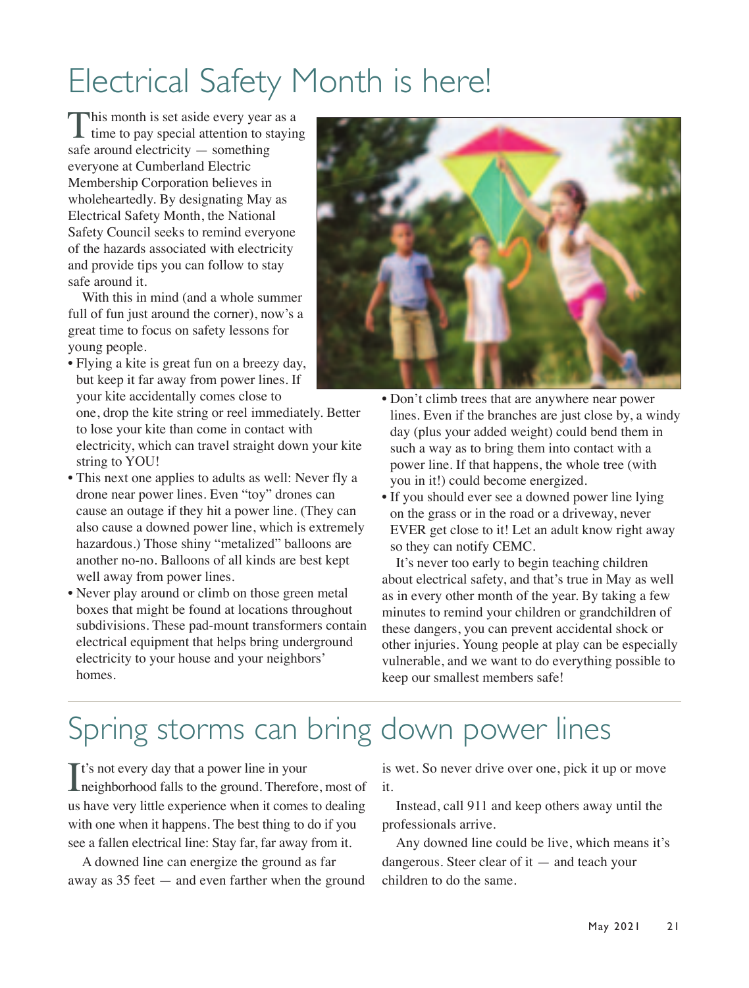# Electrical Safety Month is here!

This month is set aside every year as a time to pay special attention to staying safe around electricity — something everyone at Cumberland Electric Membership Corporation believes in wholeheartedly. By designating May as Electrical Safety Month, the National Safety Council seeks to remind everyone of the hazards associated with electricity and provide tips you can follow to stay safe around it.

With this in mind (and a whole summer full of fun just around the corner), now's a great time to focus on safety lessons for young people.

• Flying a kite is great fun on a breezy day, but keep it far away from power lines. If your kite accidentally comes close to

one, drop the kite string or reel immediately. Better to lose your kite than come in contact with electricity, which can travel straight down your kite string to YOU!

- This next one applies to adults as well: Never fly a drone near power lines. Even "toy" drones can cause an outage if they hit a power line. (They can also cause a downed power line, which is extremely hazardous.) Those shiny "metalized" balloons are another no-no. Balloons of all kinds are best kept well away from power lines.
- Never play around or climb on those green metal boxes that might be found at locations throughout subdivisions. These pad-mount transformers contain electrical equipment that helps bring underground electricity to your house and your neighbors' homes.



- Don't climb trees that are anywhere near power lines. Even if the branches are just close by, a windy day (plus your added weight) could bend them in such a way as to bring them into contact with a power line. If that happens, the whole tree (with you in it!) could become energized.
- If you should ever see a downed power line lying on the grass or in the road or a driveway, never EVER get close to it! Let an adult know right away so they can notify CEMC.

It's never too early to begin teaching children about electrical safety, and that's true in May as well as in every other month of the year. By taking a few minutes to remind your children or grandchildren of these dangers, you can prevent accidental shock or other injuries. Young people at play can be especially vulnerable, and we want to do everything possible to keep our smallest members safe!

## Spring storms can bring down power lines

It's not every day that a power line in your<br>neighborhood falls to the ground. Therefore neighborhood falls to the ground. Therefore, most of us have very little experience when it comes to dealing with one when it happens. The best thing to do if you see a fallen electrical line: Stay far, far away from it.

A downed line can energize the ground as far away as 35 feet — and even farther when the ground

is wet. So never drive over one, pick it up or move it.

Instead, call 911 and keep others away until the professionals arrive.

Any downed line could be live, which means it's dangerous. Steer clear of it — and teach your children to do the same.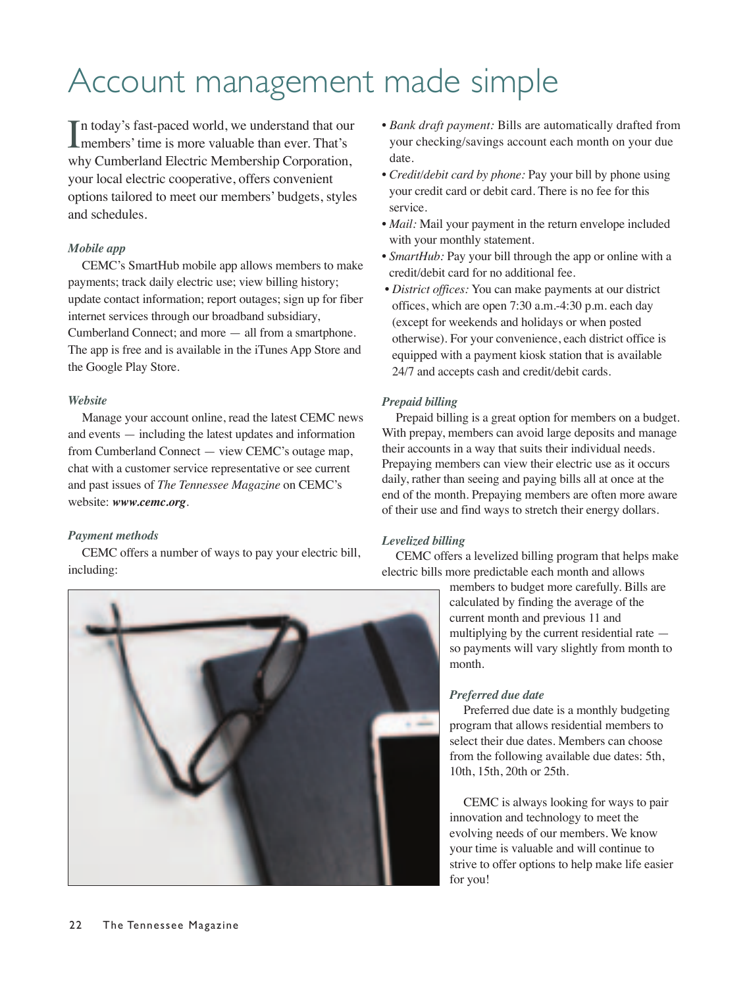# Account management made simple

In today's fast-paced world, we understand that our<br>
members' time is more valuable than ever. That's **L** members' time is more valuable than ever. That's why Cumberland Electric Membership Corporation, your local electric cooperative, offers convenient options tailored to meet our members' budgets, styles and schedules.

#### *Mobile app*

CEMC's SmartHub mobile app allows members to make payments; track daily electric use; view billing history; update contact information; report outages; sign up for fiber internet services through our broadband subsidiary, Cumberland Connect; and more — all from a smartphone. The app is free and is available in the iTunes App Store and the Google Play Store.

#### *Website*

Manage your account online, read the latest CEMC news and events — including the latest updates and information from Cumberland Connect — view CEMC's outage map, chat with a customer service representative or see current and past issues of *The Tennessee Magazine* on CEMC's website: *www.cemc.org*.

#### *Payment methods*

CEMC offers a number of ways to pay your electric bill, including:

- *Bank draft payment:* Bills are automatically drafted from your checking/savings account each month on your due date.
- *Credit/debit card by phone:* Pay your bill by phone using your credit card or debit card. There is no fee for this service.
- *Mail:* Mail your payment in the return envelope included with your monthly statement.
- *SmartHub:* Pay your bill through the app or online with a credit/debit card for no additional fee.
- *District offices:* You can make payments at our district offices, which are open 7:30 a.m.-4:30 p.m. each day (except for weekends and holidays or when posted otherwise). For your convenience, each district office is equipped with a payment kiosk station that is available 24/7 and accepts cash and credit/debit cards.

#### *Prepaid billing*

Prepaid billing is a great option for members on a budget. With prepay, members can avoid large deposits and manage their accounts in a way that suits their individual needs. Prepaying members can view their electric use as it occurs daily, rather than seeing and paying bills all at once at the end of the month. Prepaying members are often more aware of their use and find ways to stretch their energy dollars.

#### *Levelized billing*

CEMC offers a levelized billing program that helps make electric bills more predictable each month and allows

> members to budget more carefully. Bills are calculated by finding the average of the current month and previous 11 and multiplying by the current residential rate so payments will vary slightly from month to month.

#### *Preferred due date*

Preferred due date is a monthly budgeting program that allows residential members to select their due dates. Members can choose from the following available due dates: 5th, 10th, 15th, 20th or 25th.

CEMC is always looking for ways to pair innovation and technology to meet the evolving needs of our members. We know your time is valuable and will continue to strive to offer options to help make life easier for you!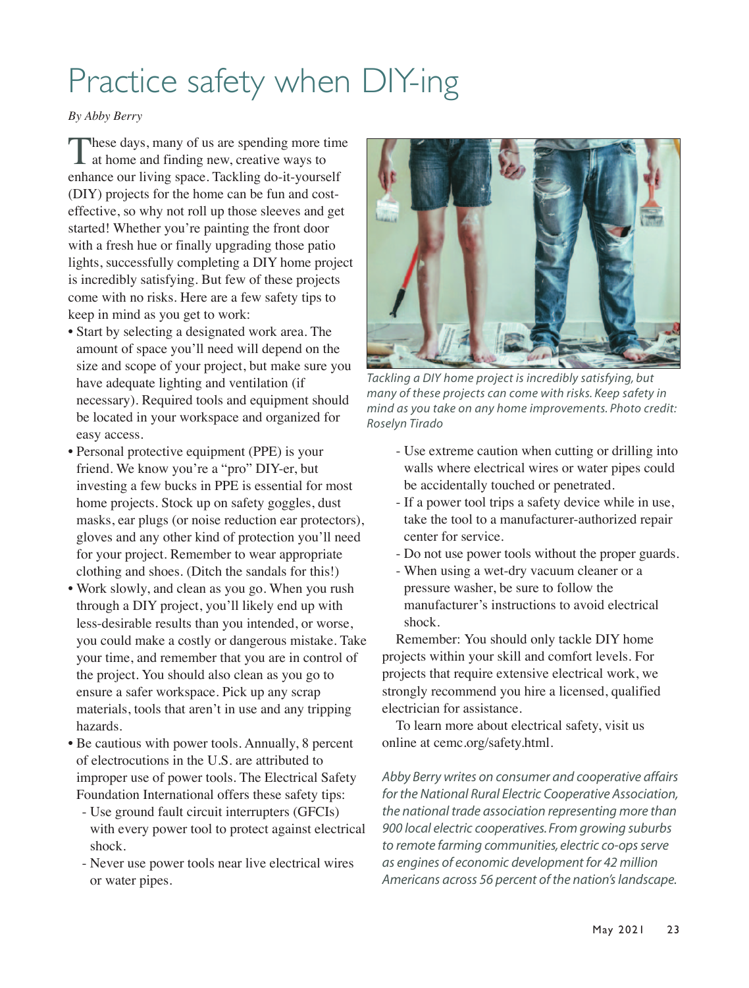# Practice safety when DIY-ing

#### *By Abby Berry*

These days, many of us are spending more time  $\blacksquare$  at home and finding new, creative ways to enhance our living space. Tackling do-it-yourself (DIY) projects for the home can be fun and costeffective, so why not roll up those sleeves and get started! Whether you're painting the front door with a fresh hue or finally upgrading those patio lights, successfully completing a DIY home project is incredibly satisfying. But few of these projects come with no risks. Here are a few safety tips to keep in mind as you get to work:

- Start by selecting a designated work area. The amount of space you'll need will depend on the size and scope of your project, but make sure you have adequate lighting and ventilation (if necessary). Required tools and equipment should be located in your workspace and organized for easy access.
- Personal protective equipment (PPE) is your friend. We know you're a "pro" DIY-er, but investing a few bucks in PPE is essential for most home projects. Stock up on safety goggles, dust masks, ear plugs (or noise reduction ear protectors), gloves and any other kind of protection you'll need for your project. Remember to wear appropriate clothing and shoes. (Ditch the sandals for this!)
- Work slowly, and clean as you go. When you rush through a DIY project, you'll likely end up with less-desirable results than you intended, or worse, you could make a costly or dangerous mistake. Take your time, and remember that you are in control of the project. You should also clean as you go to ensure a safer workspace. Pick up any scrap materials, tools that aren't in use and any tripping hazards.
- Be cautious with power tools. Annually, 8 percent of electrocutions in the U.S. are attributed to improper use of power tools. The Electrical Safety Foundation International offers these safety tips:
	- Use ground fault circuit interrupters (GFCIs) with every power tool to protect against electrical shock.
	- Never use power tools near live electrical wires or water pipes.



*Tackling a DIY home project is incredibly satisfying, but many of these projects can come with risks. Keep safety in mind as you take on any home improvements. Photo credit: Roselyn Tirado*

- Use extreme caution when cutting or drilling into walls where electrical wires or water pipes could be accidentally touched or penetrated.
- If a power tool trips a safety device while in use, take the tool to a manufacturer-authorized repair center for service.
- Do not use power tools without the proper guards.
- When using a wet-dry vacuum cleaner or a pressure washer, be sure to follow the manufacturer's instructions to avoid electrical shock.

Remember: You should only tackle DIY home projects within your skill and comfort levels. For projects that require extensive electrical work, we strongly recommend you hire a licensed, qualified electrician for assistance.

To learn more about electrical safety, visit us online at cemc.org/safety.html.

*Abby Berry writes on consumer and cooperative affairs for the National Rural Electric Cooperative Association, the national trade association representing more than 900 local electric cooperatives. From growing suburbs to remote farming communities, electric co-ops serve as engines of economic development for 42 million Americans across 56 percent of the nation's landscape.*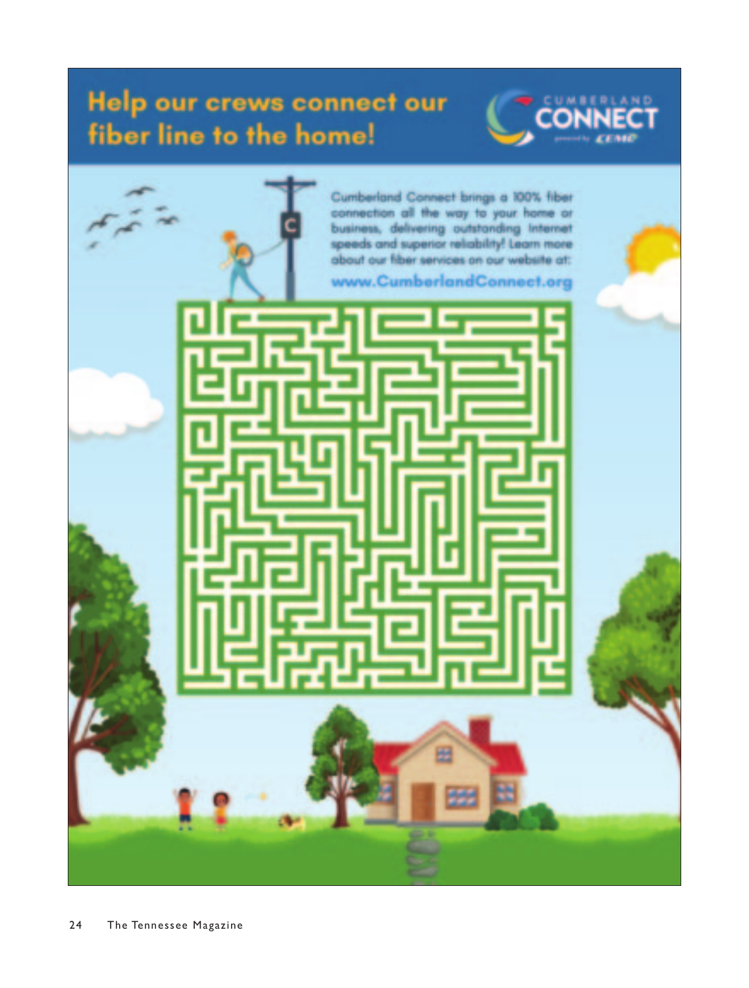## Help our crews connect our fiber line to the home!